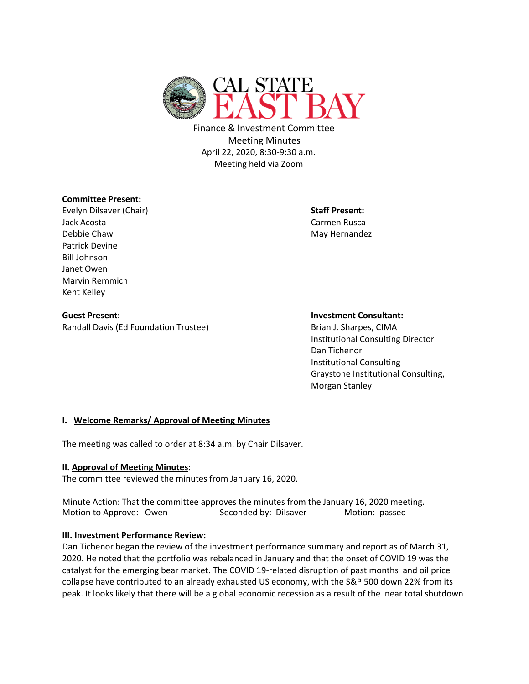

Finance & Investment Committee Meeting Minutes April 22, 2020, 8:30-9:30 a.m. Meeting held via Zoom

## **Committee Present:**

Evelyn Dilsaver (Chair) **Staff Present:** Jack Acosta Carmen Rusca Debbie Chaw May Hernandez and Debbie Chaw May Hernandez Patrick Devine Bill Johnson Janet Owen Marvin Remmich Kent Kelley

**Guest Present: Investment Consultant:** Randall Davis (Ed Foundation Trustee) Brian J. Sharpes, CIMA

Institutional Consulting Director Dan Tichenor Institutional Consulting Graystone Institutional Consulting, Morgan Stanley

## **I. Welcome Remarks/ Approval of Meeting Minutes**

The meeting was called to order at 8:34 a.m. by Chair Dilsaver.

## **II. Approval of Meeting Minutes:**

The committee reviewed the minutes from January 16, 2020.

Minute Action: That the committee approves the minutes from the January 16, 2020 meeting. Motion to Approve: Owen Seconded by: Dilsaver Motion: passed

## **III. Investment Performance Review:**

Dan Tichenor began the review of the investment performance summary and report as of March 31, 2020. He noted that the portfolio was rebalanced in January and that the onset of COVID 19 was the catalyst for the emerging bear market. The COVID 19-related disruption of past months and oil price collapse have contributed to an already exhausted US economy, with the S&P 500 down 22% from its peak. It looks likely that there will be a global economic recession as a result of the near total shutdown